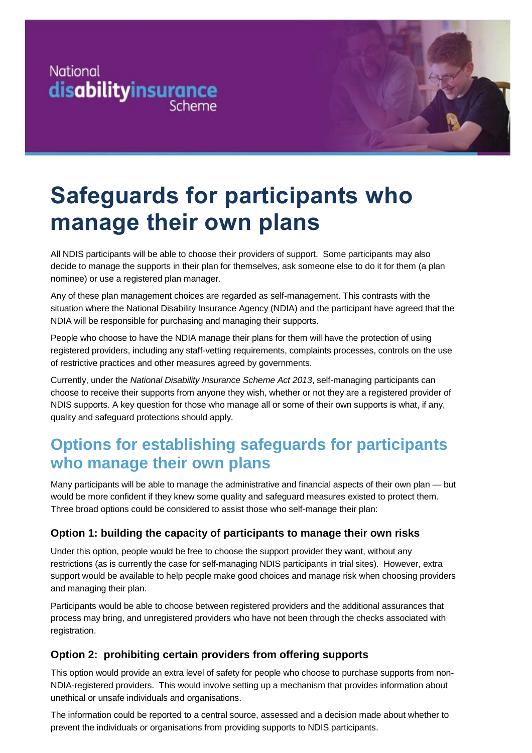



# **Safeguards for participants who manage their own plans**

All NDIS participants will be able to choose their providers of support. Some participants may also decide to manage the supports in their plan for themselves, ask someone else to do it for them (a plan nominee) or use a registered plan manager.

Any of these plan management choices are regarded as self-management. This contrasts with the situation where the National Disability Insurance Agency (NDIA) and the participant have agreed that the NDIA will be responsible for purchasing and managing their supports.

People who choose to have the NDIA manage their plans for them will have the protection of using registered providers, including any staff-vetting requirements, complaints processes, controls on the use of restrictive practices and other measures agreed by governments.

Currently, under the *National Disability Insurance Scheme Act 2013*, self-managing participants can choose to receive their supports from anyone they wish, whether or not they are a registered provider of NDIS supports. A key question for those who manage all or some of their own supports is what, if any, quality and safeguard protections should apply.

### **Options for establishing safeguards for participants who manage their own plans**

Many participants will be able to manage the administrative and financial aspects of their own plan - but would be more confident if they knew some quality and safeguard measures existed to protect them. Three broad options could be considered to assist those who self-manage their plan:

#### **Option 1: building the capacity of participants to manage their own risks**

Under this option, people would be free to choose the support provider they want, without any restrictions (as is currently the case for self-managing NDIS participants in trial sites). However, extra support would be available to help people make good choices and manage risk when choosing providers and managing their plan.

Participants would be able to choose between registered providers and the additional assurances that process may bring, and unregistered providers who have not been through the checks associated with registration.

#### **Option 2: prohibiting certain providers from offering supports**

This option would provide an extra level of safety for people who choose to purchase supports from non-NDIA-registered providers. This would involve setting up a mechanism that provides information about unethical or unsafe individuals and organisations.

The information could be reported to a central source, assessed and a decision made about whether to prevent the individuals or organisations from providing supports to NDIS participants.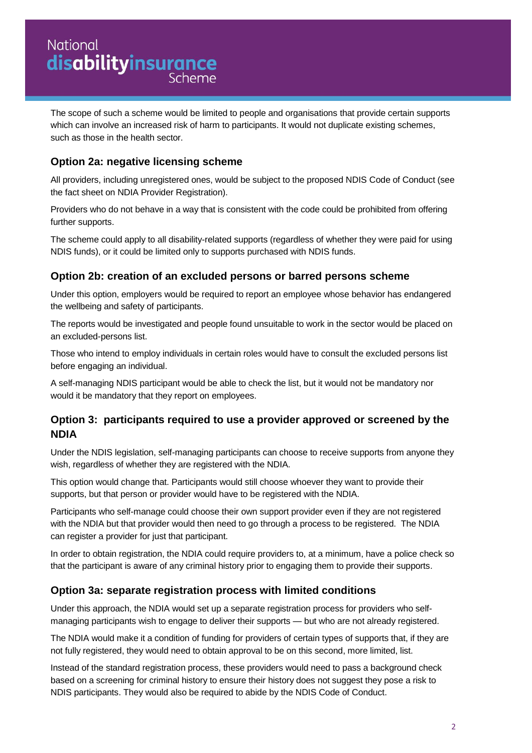### **National** National<br>**disabilityinsurance**

The scope of such a scheme would be limited to people and organisations that provide certain supports which can involve an increased risk of harm to participants. It would not duplicate existing schemes, such as those in the health sector.

#### **Option 2a: negative licensing scheme**

All providers, including unregistered ones, would be subject to the proposed NDIS Code of Conduct (see the fact sheet on NDIA Provider Registration).

Providers who do not behave in a way that is consistent with the code could be prohibited from offering further supports.

The scheme could apply to all disability-related supports (regardless of whether they were paid for using NDIS funds), or it could be limited only to supports purchased with NDIS funds.

#### **Option 2b: creation of an excluded persons or barred persons scheme**

Under this option, employers would be required to report an employee whose behavior has endangered the wellbeing and safety of participants.

The reports would be investigated and people found unsuitable to work in the sector would be placed on an excluded-persons list.

Those who intend to employ individuals in certain roles would have to consult the excluded persons list before engaging an individual.

A self-managing NDIS participant would be able to check the list, but it would not be mandatory nor would it be mandatory that they report on employees.

#### **Option 3: participants required to use a provider approved or screened by the NDIA**

Under the NDIS legislation, self-managing participants can choose to receive supports from anyone they wish, regardless of whether they are registered with the NDIA.

This option would change that. Participants would still choose whoever they want to provide their supports, but that person or provider would have to be registered with the NDIA.

Participants who self-manage could choose their own support provider even if they are not registered with the NDIA but that provider would then need to go through a process to be registered. The NDIA can register a provider for just that participant.

In order to obtain registration, the NDIA could require providers to, at a minimum, have a police check so that the participant is aware of any criminal history prior to engaging them to provide their supports.

#### **Option 3a: separate registration process with limited conditions**

Under this approach, the NDIA would set up a separate registration process for providers who selfmanaging participants wish to engage to deliver their supports — but who are not already registered.

The NDIA would make it a condition of funding for providers of certain types of supports that, if they are not fully registered, they would need to obtain approval to be on this second, more limited, list.

Instead of the standard registration process, these providers would need to pass a background check based on a screening for criminal history to ensure their history does not suggest they pose a risk to NDIS participants. They would also be required to abide by the NDIS Code of Conduct.